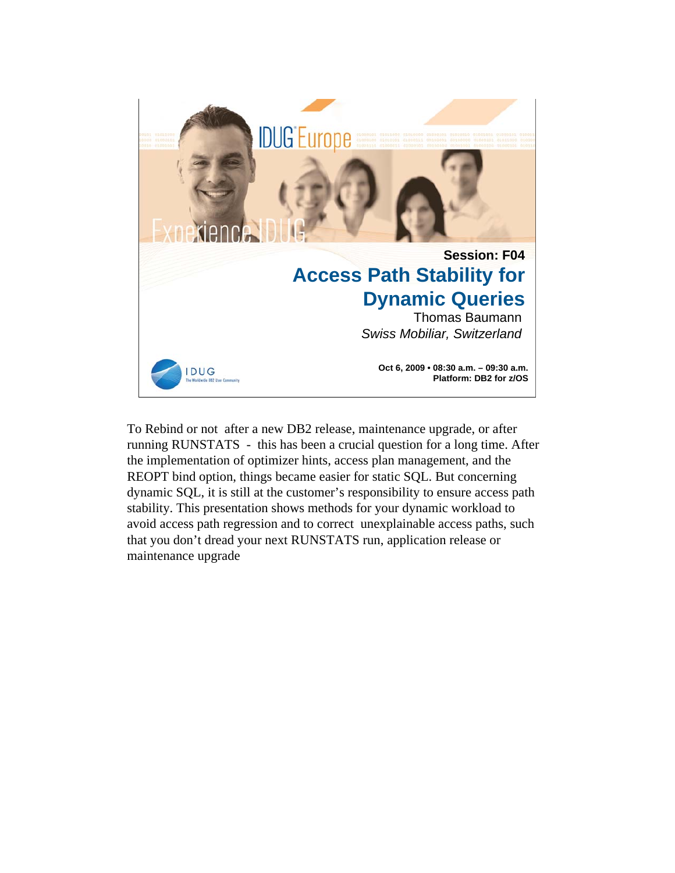

To Rebind or not after a new DB2 release, maintenance upgrade, or after running RUNSTATS - this has been a crucial question for a long time. After the implementation of optimizer hints, access plan management, and the REOPT bind option, things became easier for static SQL. But concerning dynamic SQL, it is still at the customer's responsibility to ensure access path stability. This presentation shows methods for your dynamic workload to avoid access path regression and to correct unexplainable access paths, such that you don't dread your next RUNSTATS run, application release or maintenance upgrade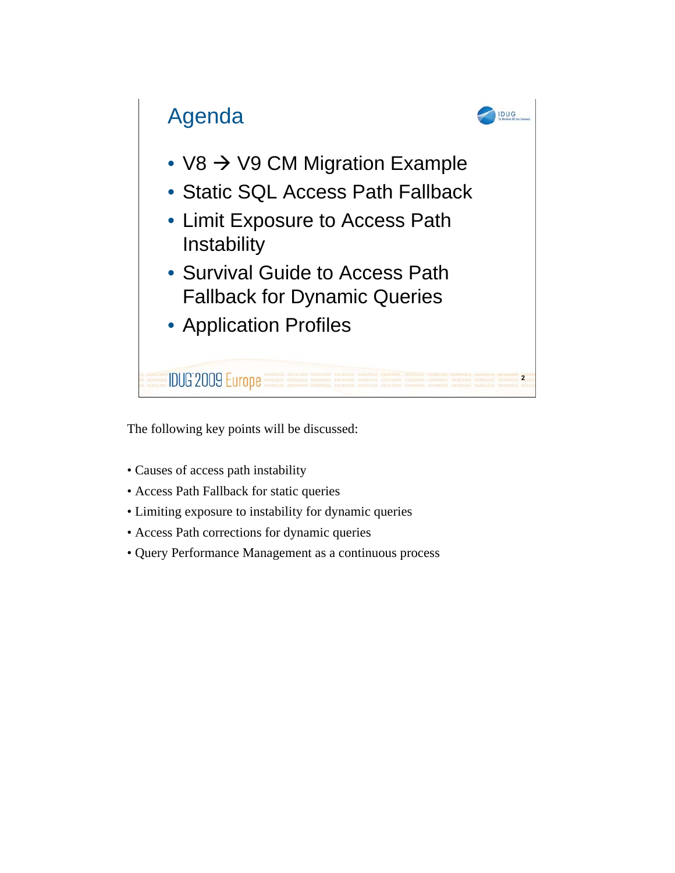

The following key points will be discussed:

- Causes of access path instability
- Access Path Fallback for static queries
- Limiting exposure to instability for dynamic queries
- Access Path corrections for dynamic queries
- Query Performance Management as a continuous process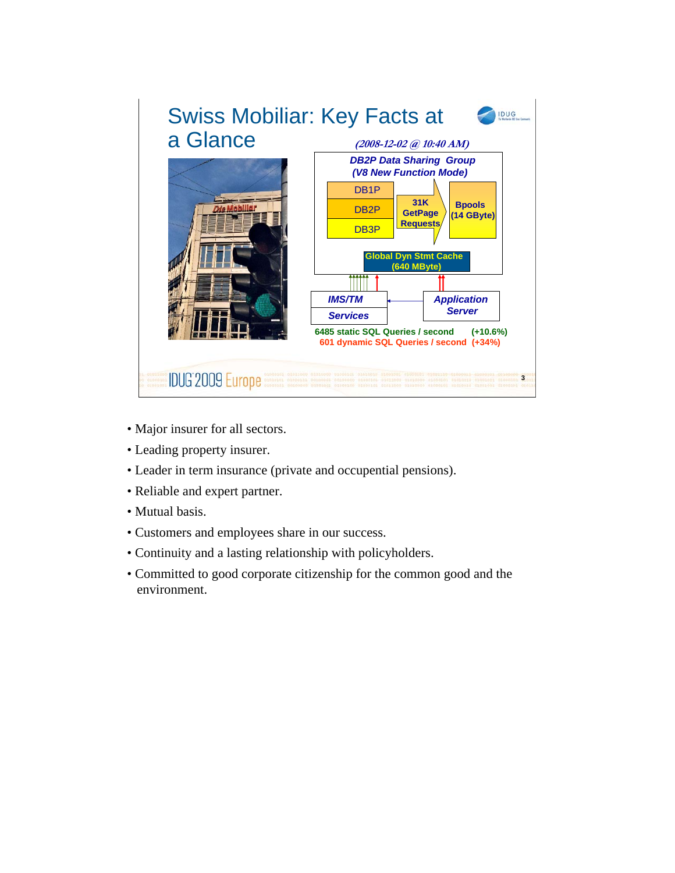

- Major insurer for all sectors.
- Leading property insurer.
- Leader in term insurance (private and occupential pensions).
- Reliable and expert partner.
- Mutual basis.
- Customers and employees share in our success.
- Continuity and a lasting relationship with policyholders.
- Committed to good corporate citizenship for the common good and the environment.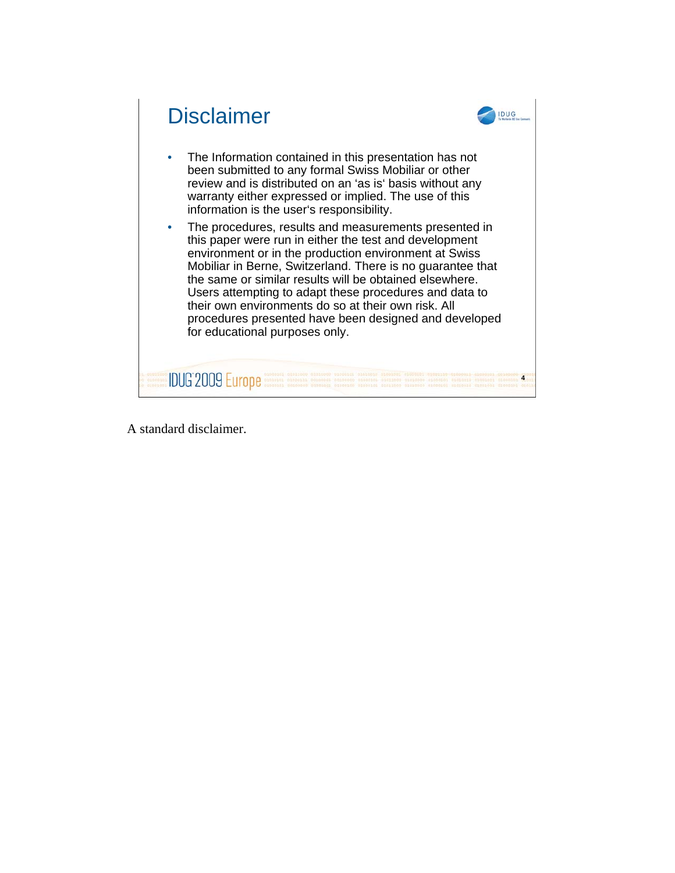

A standard disclaimer.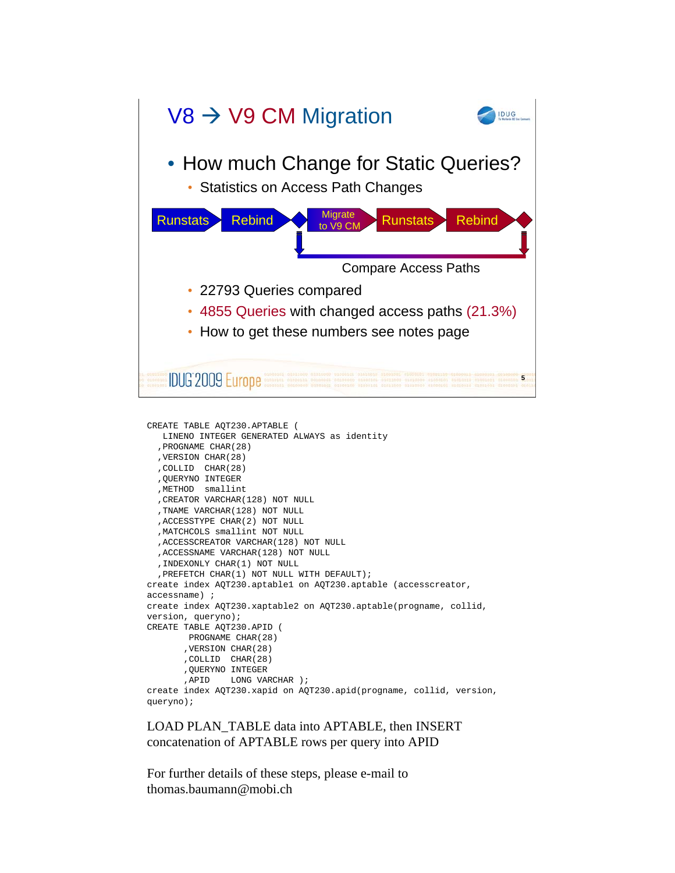

```
CREATE TABLE AQT230.APTABLE (
  LINENO INTEGER GENERATED ALWAYS as identity
  ,PROGNAME CHAR(28)
  ,VERSION CHAR(28)
 ,COLLID CHAR(28)
  ,QUERYNO INTEGER
  ,METHOD smallint
  ,CREATOR VARCHAR(128) NOT NULL
  ,TNAME VARCHAR(128) NOT NULL
  ,ACCESSTYPE CHAR(2) NOT NULL
 ,MATCHCOLS smallint NOT NULL
  ,ACCESSCREATOR VARCHAR(128) NOT NULL
  ,ACCESSNAME VARCHAR(128) NOT NULL
  ,INDEXONLY CHAR(1) NOT NULL
  ,PREFETCH CHAR(1) NOT NULL WITH DEFAULT); 
create index AQT230.aptable1 on AQT230.aptable (accesscreator, 
accessname) ;
create index AQT230.xaptable2 on AQT230.aptable(progname, collid, 
version, queryno);
CREATE TABLE AQT230.APID (
       PROGNAME CHAR(28)
       ,VERSION CHAR(28)
       ,COLLID CHAR(28)
       ,QUERYNO INTEGER
       ,APID LONG VARCHAR );
create index AQT230.xapid on AQT230.apid(progname, collid, version, 
queryno);
```
## LOAD PLAN\_TABLE data into APTABLE, then INSERT concatenation of APTABLE rows per query into APID

For further details of these steps, please e-mail to thomas.baumann@mobi.ch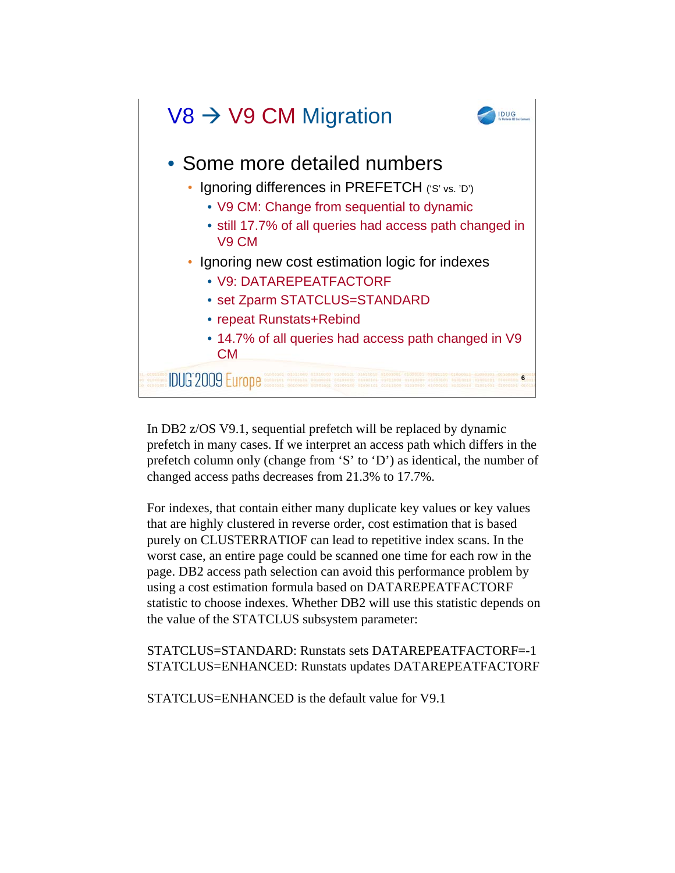

In DB2 z/OS V9.1, sequential prefetch will be replaced by dynamic prefetch in many cases. If we interpret an access path which differs in the prefetch column only (change from 'S' to 'D') as identical, the number of changed access paths decreases from 21.3% to 17.7%.

For indexes, that contain either many duplicate key values or key values that are highly clustered in reverse order, cost estimation that is based purely on CLUSTERRATIOF can lead to repetitive index scans. In the worst case, an entire page could be scanned one time for each row in the page. DB2 access path selection can avoid this performance problem by using a cost estimation formula based on DATAREPEATFACTORF statistic to choose indexes. Whether DB2 will use this statistic depends on the value of the STATCLUS subsystem parameter:

STATCLUS=STANDARD: Runstats sets DATAREPEATFACTORF=-1 STATCLUS=ENHANCED: Runstats updates DATAREPEATFACTORF

STATCLUS=ENHANCED is the default value for V9.1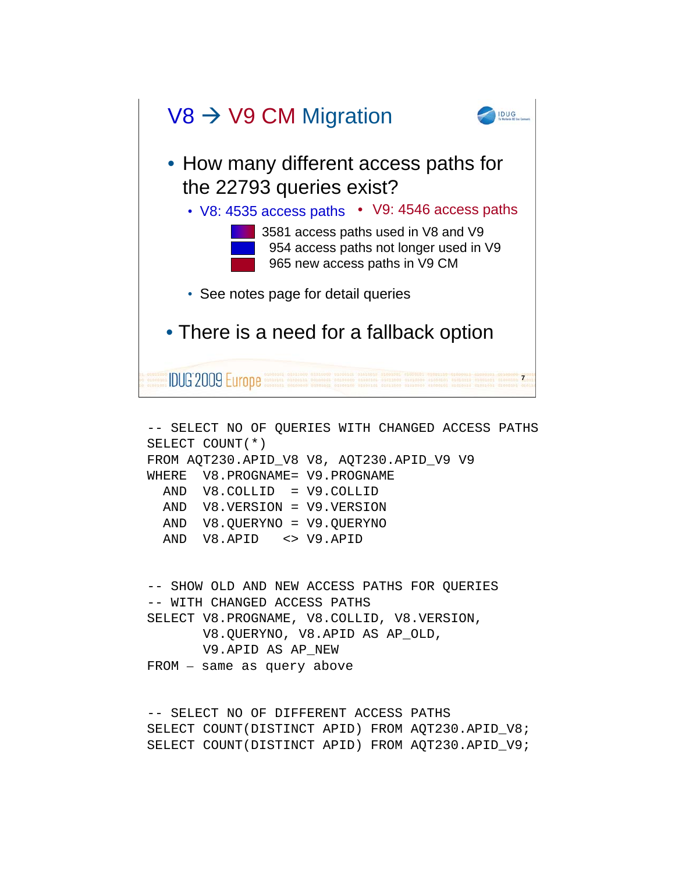

```
-- SELECT NO OF QUERIES WITH CHANGED ACCESS PATHS
SELECT COUNT(*)
FROM AQT230.APID_V8 V8, AQT230.APID_V9 V9
WHERE V8.PROGNAME= V9.PROGNAME
 AND V8.COLLID = V9.COLLID
 AND V8.VERSION = V9.VERSION
 AND V8.QUERYNO = V9.QUERYNO
 AND V8.APID <> V9.APID
```

```
-- SHOW OLD AND NEW ACCESS PATHS FOR QUERIES
-- WITH CHANGED ACCESS PATHS
SELECT V8.PROGNAME, V8.COLLID, V8.VERSION,
       V8.QUERYNO, V8.APID AS AP_OLD, 
       V9.APID AS AP_NEW
FROM – same as query above
```

```
-- SELECT NO OF DIFFERENT ACCESS PATHS
SELECT COUNT(DISTINCT APID) FROM AOT230.APID V8;
SELECT COUNT(DISTINCT APID) FROM AQT230.APID_V9;
```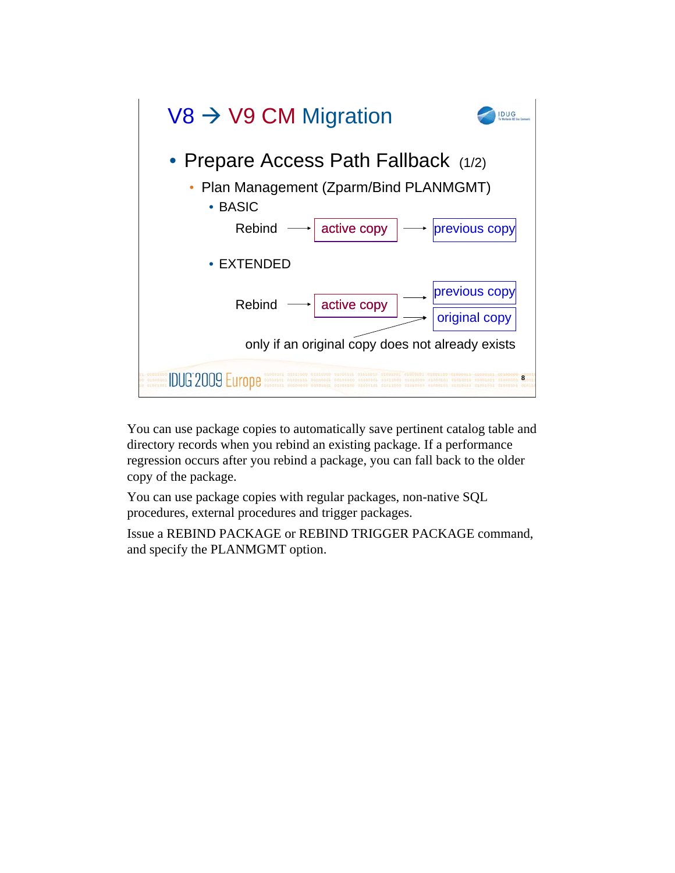

You can use package copies to automatically save pertinent catalog table and directory records when you rebind an existing package. If a performance regression occurs after you rebind a package, you can fall back to the older copy of the package.

You can use package copies with regular packages, non-native SQL procedures, external procedures and trigger packages.

Issue a REBIND PACKAGE or REBIND TRIGGER PACKAGE command, and specify the PLANMGMT option.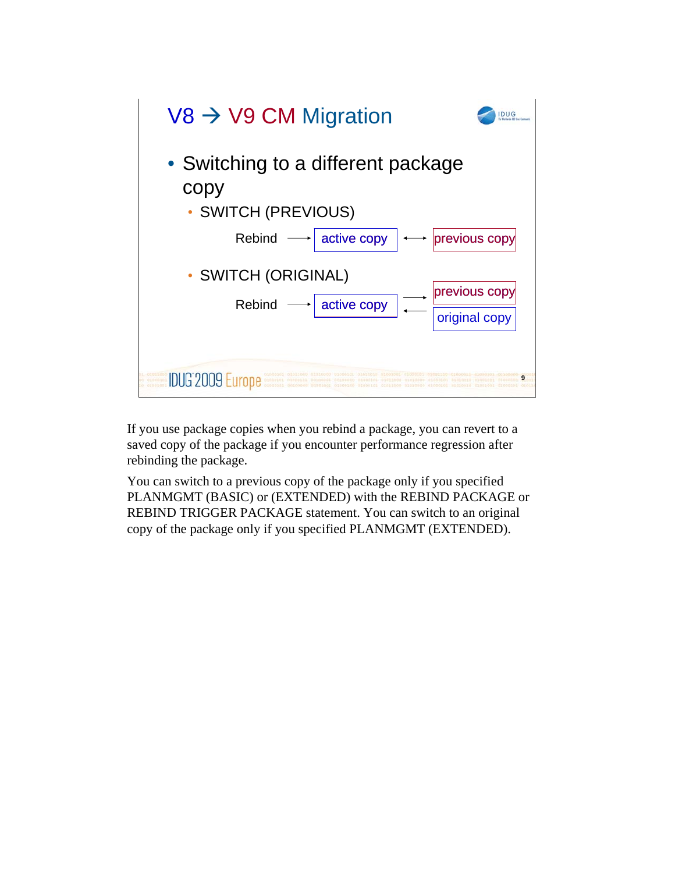

If you use package copies when you rebind a package, you can revert to a saved copy of the package if you encounter performance regression after rebinding the package.

You can switch to a previous copy of the package only if you specified PLANMGMT (BASIC) or (EXTENDED) with the REBIND PACKAGE or REBIND TRIGGER PACKAGE statement. You can switch to an original copy of the package only if you specified PLANMGMT (EXTENDED).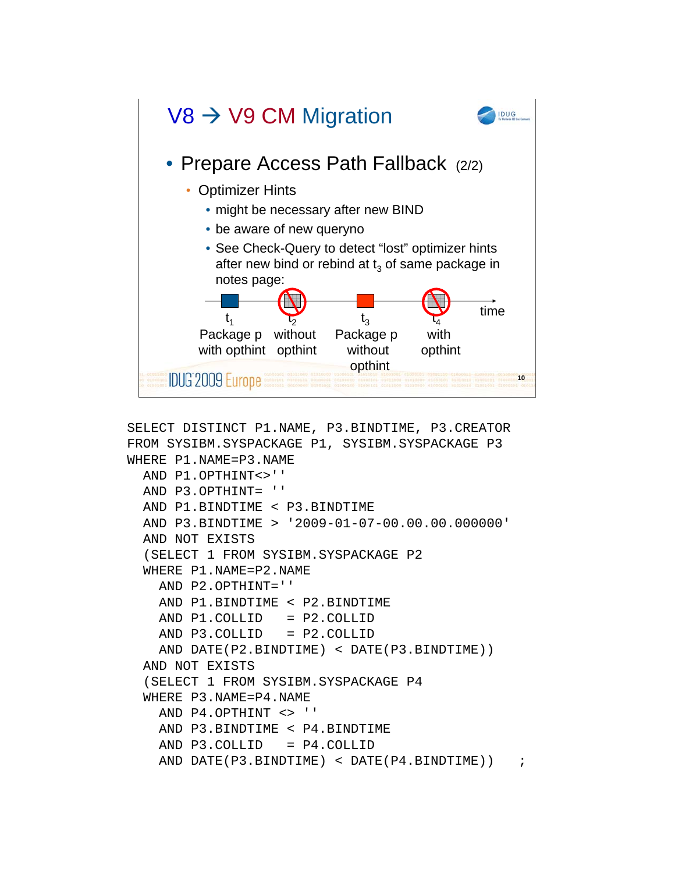

```
SELECT DISTINCT P1.NAME, P3.BINDTIME, P3.CREATOR
FROM SYSIBM.SYSPACKAGE P1, SYSIBM.SYSPACKAGE P3
WHERE P1.NAME=P3.NAME
  AND P1.OPTHINT<>''
  AND P3.OPTHINT= ''
  AND P1.BINDTIME < P3.BINDTIME
  AND P3.BINDTIME > '2009-01-07-00.00.00.000000'
  AND NOT EXISTS
  (SELECT 1 FROM SYSIBM.SYSPACKAGE P2
  WHERE P1.NAME=P2.NAME
    AND P2.OPTHINT=''
    AND P1.BINDTIME < P2.BINDTIME
    AND P1.COLLID = P2.COLLID
    AND P3.COLLID = P2.COLLID
    AND DATE(P2.BINDTIME) < DATE(P3.BINDTIME))
  AND NOT EXISTS
  (SELECT 1 FROM SYSIBM.SYSPACKAGE P4
  WHERE P3.NAME=P4.NAME
    AND P4.OPTHINT <> ''
    AND P3.BINDTIME < P4.BINDTIME
    AND P3.COLLID = P4.COLLID
    AND DATE(P3.BINDTIME) < DATE(P4.BINDTIME)) ;
```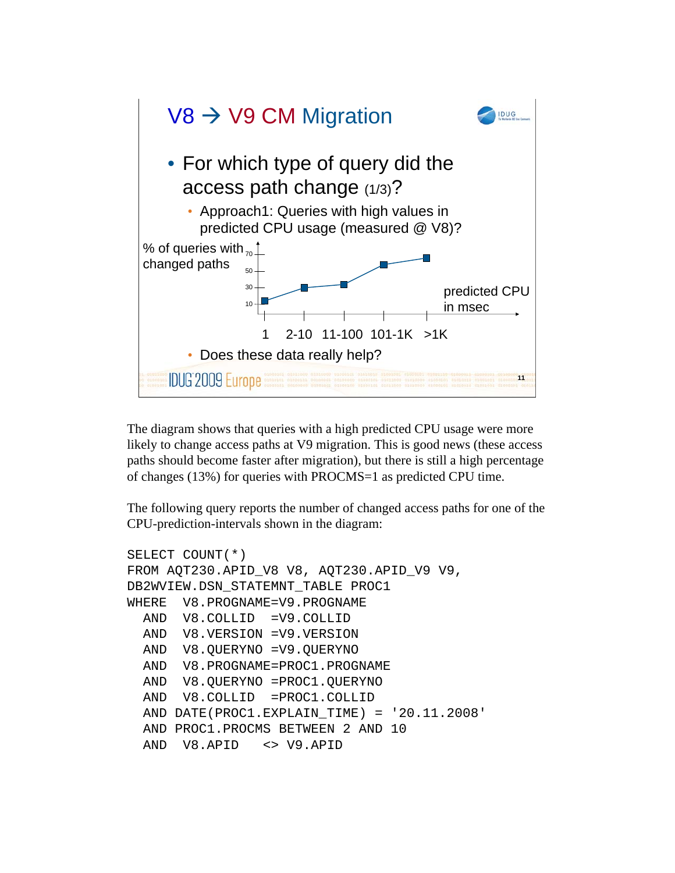

The diagram shows that queries with a high predicted CPU usage were more likely to change access paths at V9 migration. This is good news (these access paths should become faster after migration), but there is still a high percentage of changes (13%) for queries with PROCMS=1 as predicted CPU time.

The following query reports the number of changed access paths for one of the CPU-prediction-intervals shown in the diagram:

```
SELECT COUNT(*)
FROM AQT230.APID_V8 V8, AQT230.APID_V9 V9,
DB2WVIEW.DSN_STATEMNT_TABLE PROC1
WHERE V8.PROGNAME=V9.PROGNAME
  AND V8.COLLID =V9.COLLID
  AND V8.VERSION =V9.VERSION
  AND V8.QUERYNO =V9.QUERYNO
  AND V8.PROGNAME=PROC1.PROGNAME
  AND V8.QUERYNO =PROC1.QUERYNO
  AND V8.COLLID =PROC1.COLLID 
 AND DATE(PROC1.EXPLAIN_TIME) = '20.11.2008'
  AND PROC1.PROCMS BETWEEN 2 AND 10
  AND V8.APID <> V9.APID
```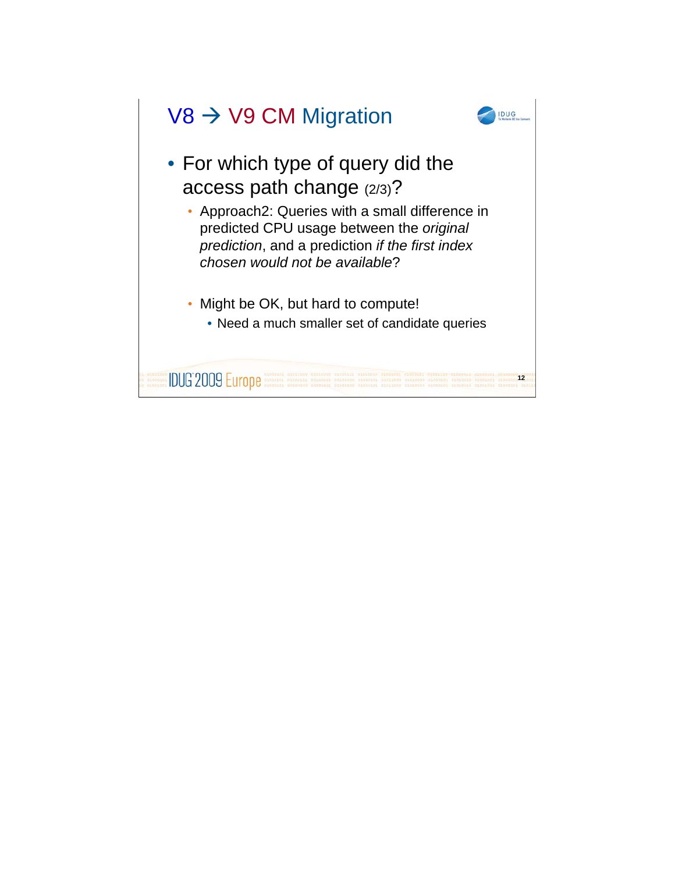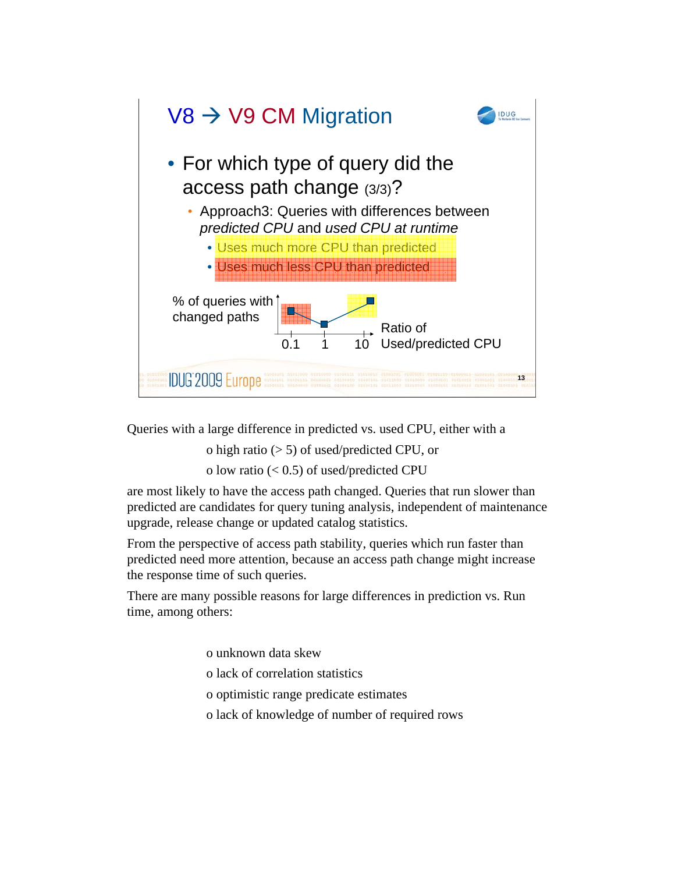

Queries with a large difference in predicted vs. used CPU, either with a

o high ratio (> 5) of used/predicted CPU, or

o low ratio  $(< 0.5)$  of used/predicted CPU

are most likely to have the access path changed. Queries that run slower than predicted are candidates for query tuning analysis, independent of maintenance upgrade, release change or updated catalog statistics.

From the perspective of access path stability, queries which run faster than predicted need more attention, because an access path change might increase the response time of such queries.

There are many possible reasons for large differences in prediction vs. Run time, among others:

- o unknown data skew
- o lack of correlation statistics
- o optimistic range predicate estimates
- o lack of knowledge of number of required rows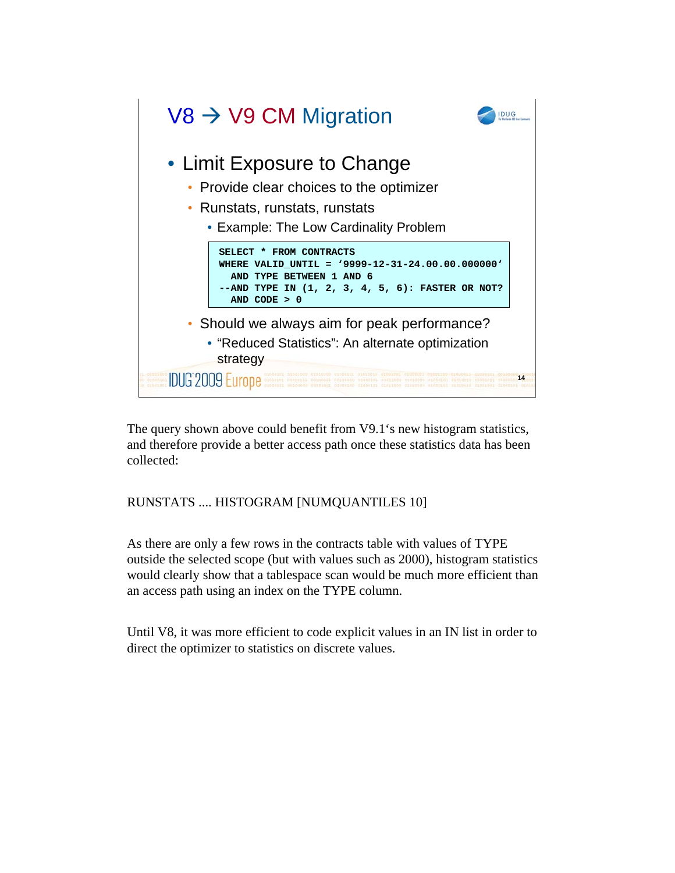

The query shown above could benefit from V9.1's new histogram statistics, and therefore provide a better access path once these statistics data has been collected:

## RUNSTATS .... HISTOGRAM [NUMQUANTILES 10]

As there are only a few rows in the contracts table with values of TYPE outside the selected scope (but with values such as 2000), histogram statistics would clearly show that a tablespace scan would be much more efficient than an access path using an index on the TYPE column.

Until V8, it was more efficient to code explicit values in an IN list in order to direct the optimizer to statistics on discrete values.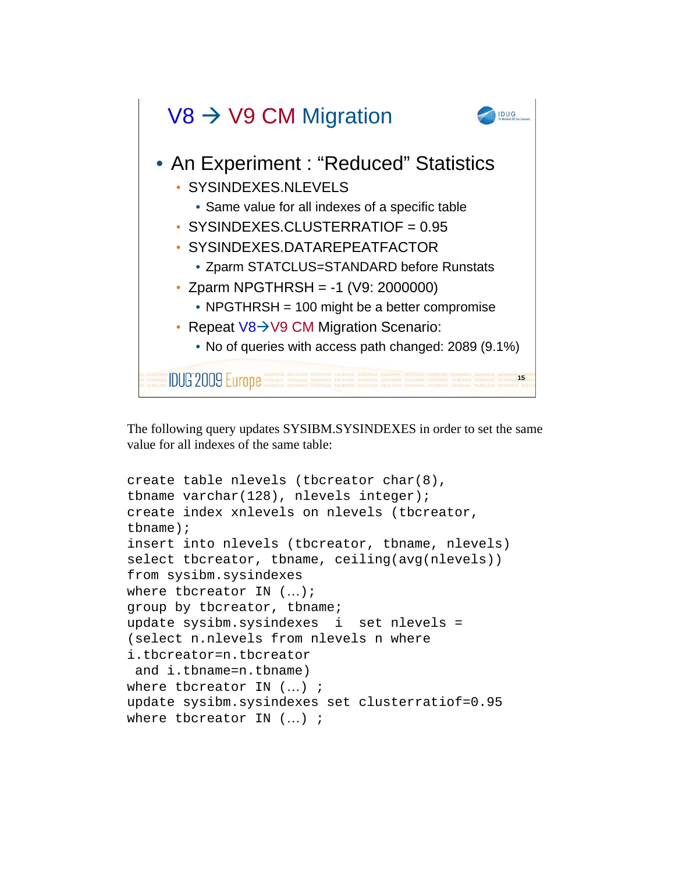

The following query updates SYSIBM.SYSINDEXES in order to set the same value for all indexes of the same table:

```
create table nlevels (tbcreator char(8),
tbname varchar(128), nlevels integer);
create index xnlevels on nlevels (tbcreator, 
tbname);
insert into nlevels (tbcreator, tbname, nlevels)
select tbcreator, tbname, ceiling(avg(nlevels))
from sysibm.sysindexes
where tbcreator IN (...);
group by tbcreator, tbname;
update sysibm.sysindexes i set nlevels =
(select n.nlevels from nlevels n where 
i.tbcreator=n.tbcreator
 and i.tbname=n.tbname)
where tbcreator IN (...) ;
update sysibm.sysindexes set clusterratiof=0.95
where tbcreator IN (...) ;
```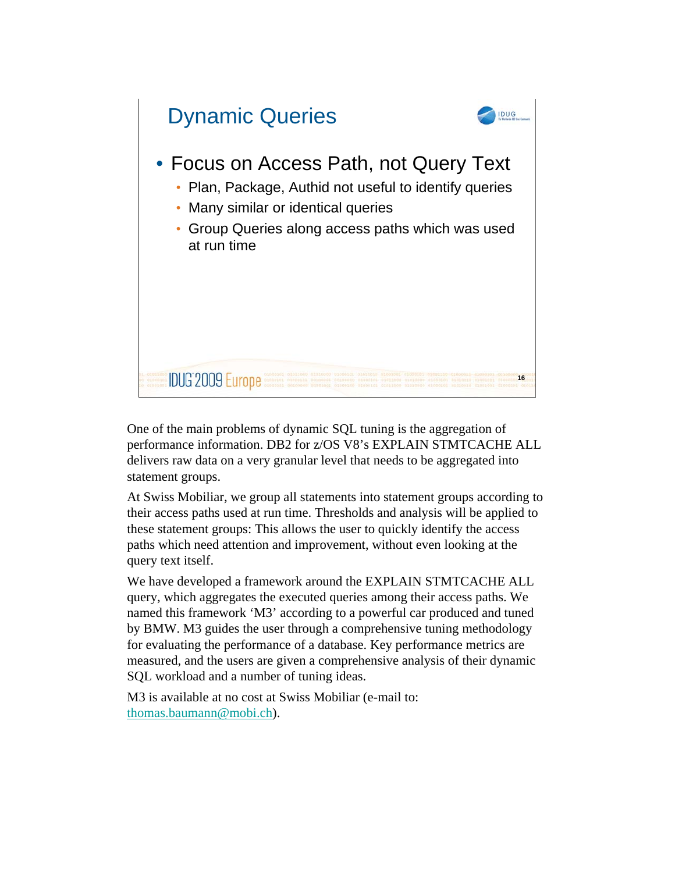

One of the main problems of dynamic SQL tuning is the aggregation of performance information. DB2 for z/OS V8's EXPLAIN STMTCACHE ALL delivers raw data on a very granular level that needs to be aggregated into statement groups.

At Swiss Mobiliar, we group all statements into statement groups according to their access paths used at run time. Thresholds and analysis will be applied to these statement groups: This allows the user to quickly identify the access paths which need attention and improvement, without even looking at the query text itself.

We have developed a framework around the EXPLAIN STMTCACHE ALL query, which aggregates the executed queries among their access paths. We named this framework 'M3' according to a powerful car produced and tuned by BMW. M3 guides the user through a comprehensive tuning methodology for evaluating the performance of a database. Key performance metrics are measured, and the users are given a comprehensive analysis of their dynamic SQL workload and a number of tuning ideas.

M3 is available at no cost at Swiss Mobiliar (e-mail to: thomas.baumann@mobi.ch).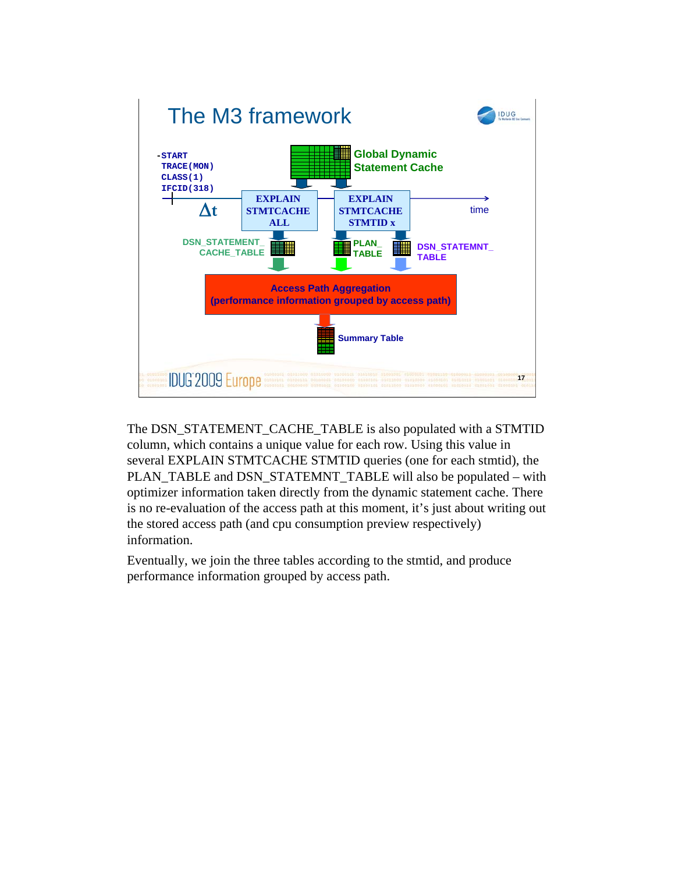

The DSN\_STATEMENT\_CACHE\_TABLE is also populated with a STMTID column, which contains a unique value for each row. Using this value in several EXPLAIN STMTCACHE STMTID queries (one for each stmtid), the PLAN\_TABLE and DSN\_STATEMNT\_TABLE will also be populated – with optimizer information taken directly from the dynamic statement cache. There is no re-evaluation of the access path at this moment, it's just about writing out the stored access path (and cpu consumption preview respectively) information.

Eventually, we join the three tables according to the stmtid, and produce performance information grouped by access path.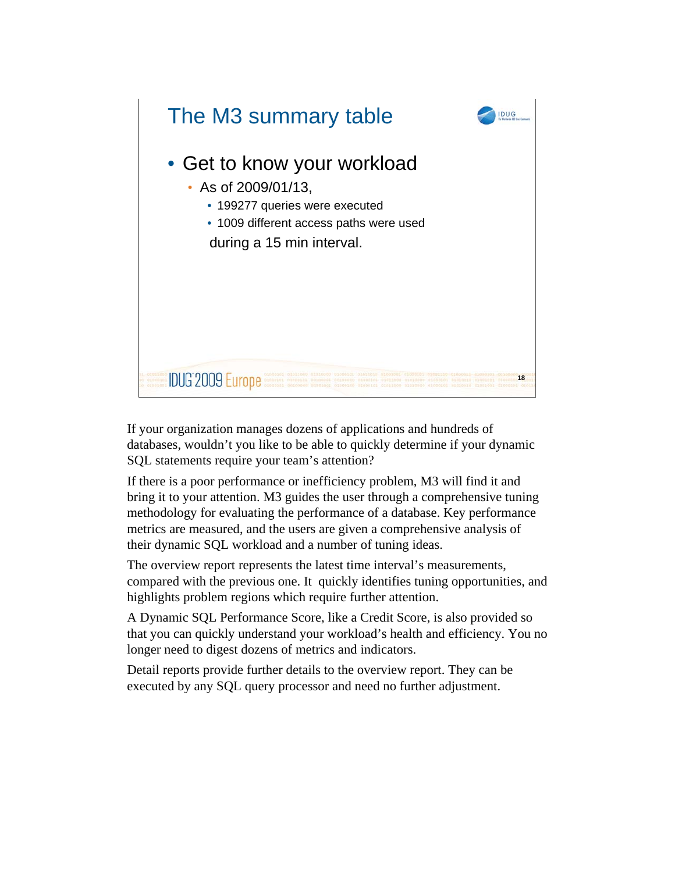

If your organization manages dozens of applications and hundreds of databases, wouldn't you like to be able to quickly determine if your dynamic SQL statements require your team's attention?

If there is a poor performance or inefficiency problem, M3 will find it and bring it to your attention. M3 guides the user through a comprehensive tuning methodology for evaluating the performance of a database. Key performance metrics are measured, and the users are given a comprehensive analysis of their dynamic SQL workload and a number of tuning ideas.

The overview report represents the latest time interval's measurements, compared with the previous one. It quickly identifies tuning opportunities, and highlights problem regions which require further attention.

A Dynamic SQL Performance Score, like a Credit Score, is also provided so that you can quickly understand your workload's health and efficiency. You no longer need to digest dozens of metrics and indicators.

Detail reports provide further details to the overview report. They can be executed by any SQL query processor and need no further adjustment.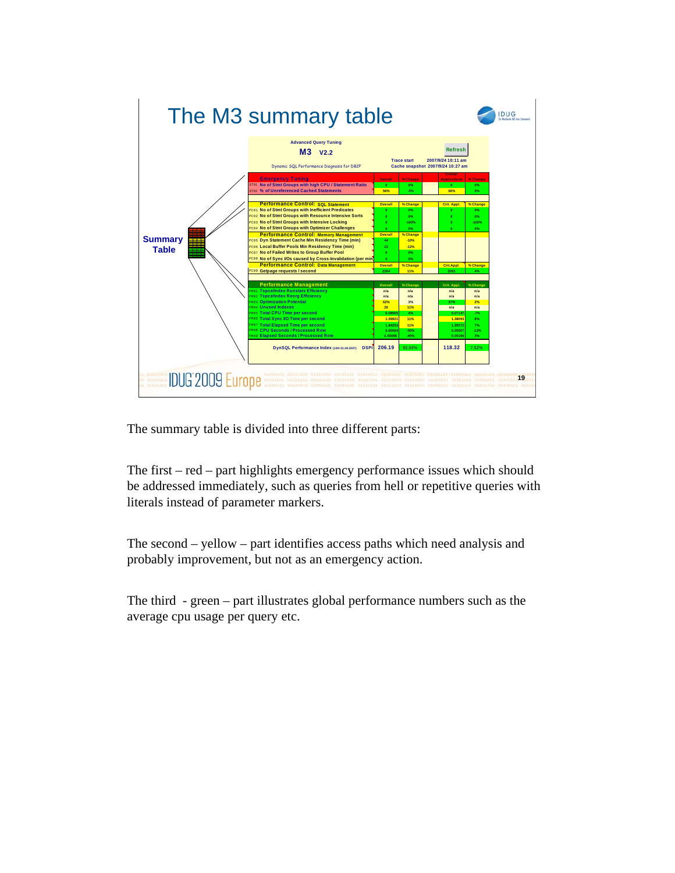

The summary table is divided into three different parts:

The first – red – part highlights emergency performance issues which should be addressed immediately, such as queries from hell or repetitive queries with literals instead of parameter markers.

The second – yellow – part identifies access paths which need analysis and probably improvement, but not as an emergency action.

The third - green – part illustrates global performance numbers such as the average cpu usage per query etc.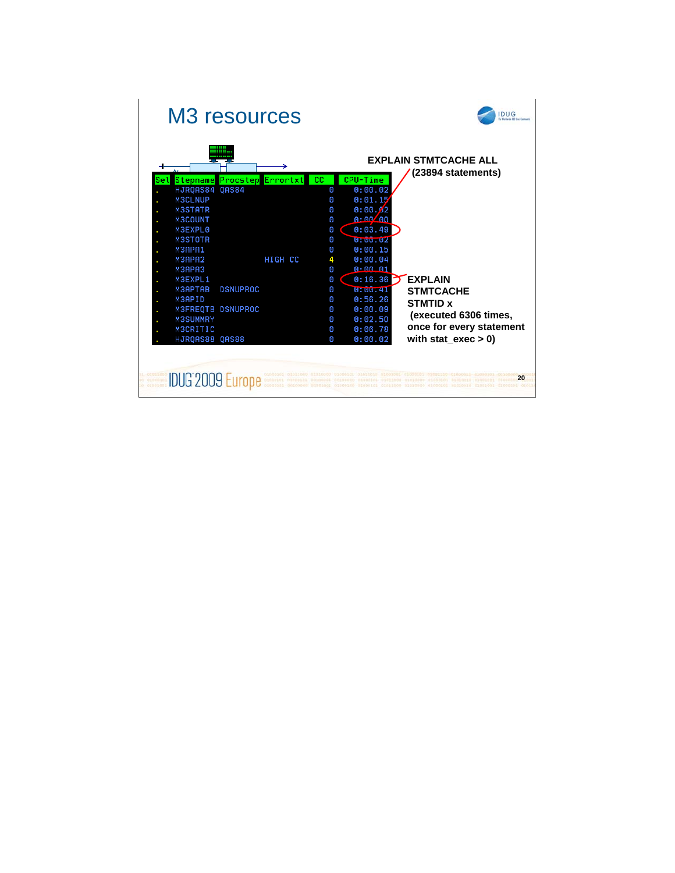| M <sub>3</sub> resources                                                                                                                                                               |         | <b>DUG</b>                                                                                                                                                                                                                    |    |
|----------------------------------------------------------------------------------------------------------------------------------------------------------------------------------------|---------|-------------------------------------------------------------------------------------------------------------------------------------------------------------------------------------------------------------------------------|----|
| Stepname Procstep Errortxt<br>Sel                                                                                                                                                      |         | <b>EXPLAIN STMTCACHE ALL</b><br>(23894 statements)<br>cc<br>CPU-Time                                                                                                                                                          |    |
| HJRQAS84 QAS84<br><b>M3CLNUP</b><br><b>M3STATR</b><br><b>M3COUNT</b><br><b>M3EXPL0</b><br><b>M3STOTR</b><br>M3APA1<br>M3APA2<br>M3APA3<br>M3EXPL1<br><b>M3APTAB</b><br><b>DSNUPROC</b> | HIGH CC | 0:00.02<br>o<br>0:01.15<br>Ω<br>0:00.02<br>0<br>0:00'00<br>Ω<br>0:03.49<br>0<br><b>0:00.02</b><br>0<br>0:00.15<br>Ω<br>0:00.04<br>4<br>0:0001<br>0<br><b>EXPLAIN</b><br>0:16.36<br>Θ<br>Θ<br>0:00.41<br><b>STMTCACHE</b><br>Θ |    |
| <b>M3APID</b><br>M3FREOTB DSNUPROC<br><b>M3SUMMRY</b><br><b>M3CRITIC</b><br>HJROAS88 OAS88<br><b>IDUG 2009 Euro</b>                                                                    |         | 0:56.26<br><b>STMTID x</b><br>0:00.09<br>Θ<br>(executed 6306 times,<br>0:02.50<br>Θ<br>once for every statement<br>0:06.78<br>Ω<br>with stat $exec > 0$ )<br>0:00.02<br>n                                                     | 20 |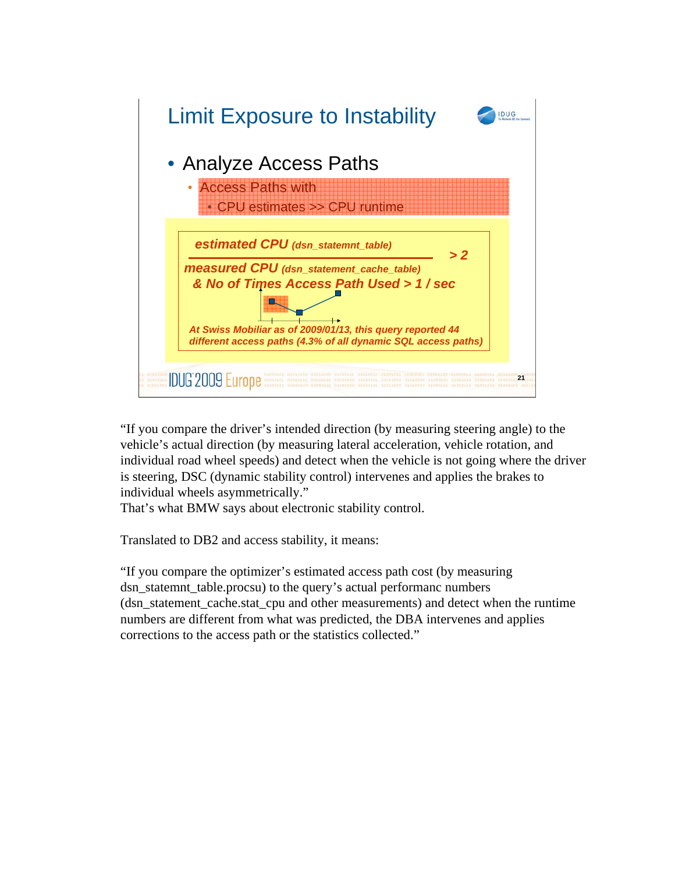

"If you compare the driver's intended direction (by measuring steering angle) to the vehicle's actual direction (by measuring lateral acceleration, vehicle rotation, and individual road wheel speeds) and detect when the vehicle is not going where the driver is steering, DSC (dynamic stability control) intervenes and applies the brakes to individual wheels asymmetrically."

That's what BMW says about electronic stability control.

Translated to DB2 and access stability, it means:

"If you compare the optimizer's estimated access path cost (by measuring dsn\_statemnt\_table.procsu) to the query's actual performanc numbers (dsn\_statement\_cache.stat\_cpu and other measurements) and detect when the runtime numbers are different from what was predicted, the DBA intervenes and applies corrections to the access path or the statistics collected."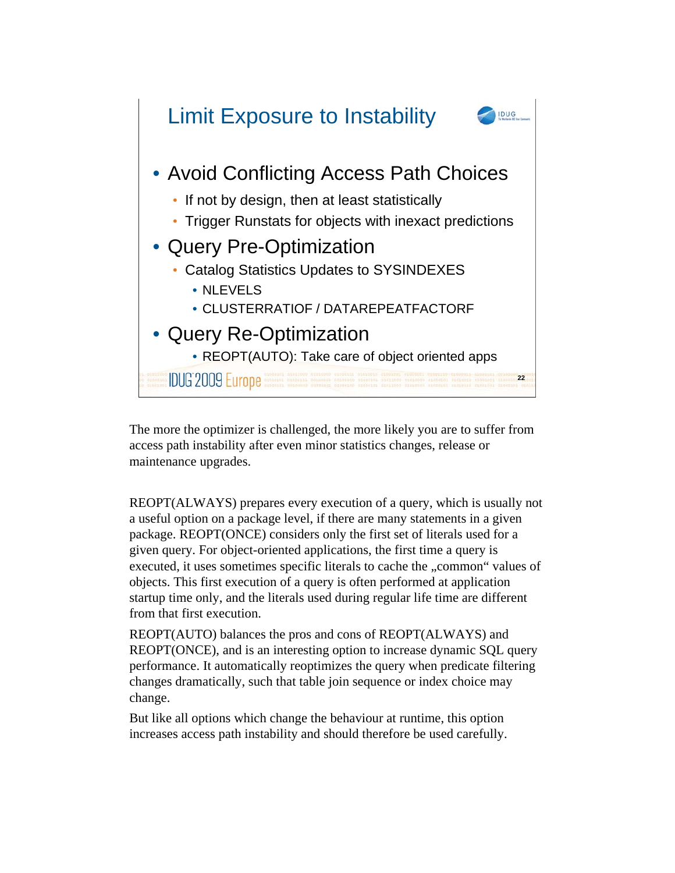

The more the optimizer is challenged, the more likely you are to suffer from access path instability after even minor statistics changes, release or maintenance upgrades.

REOPT(ALWAYS) prepares every execution of a query, which is usually not a useful option on a package level, if there are many statements in a given package. REOPT(ONCE) considers only the first set of literals used for a given query. For object-oriented applications, the first time a query is executed, it uses sometimes specific literals to cache the "common" values of objects. This first execution of a query is often performed at application startup time only, and the literals used during regular life time are different from that first execution.

REOPT(AUTO) balances the pros and cons of REOPT(ALWAYS) and REOPT(ONCE), and is an interesting option to increase dynamic SQL query performance. It automatically reoptimizes the query when predicate filtering changes dramatically, such that table join sequence or index choice may change.

But like all options which change the behaviour at runtime, this option increases access path instability and should therefore be used carefully.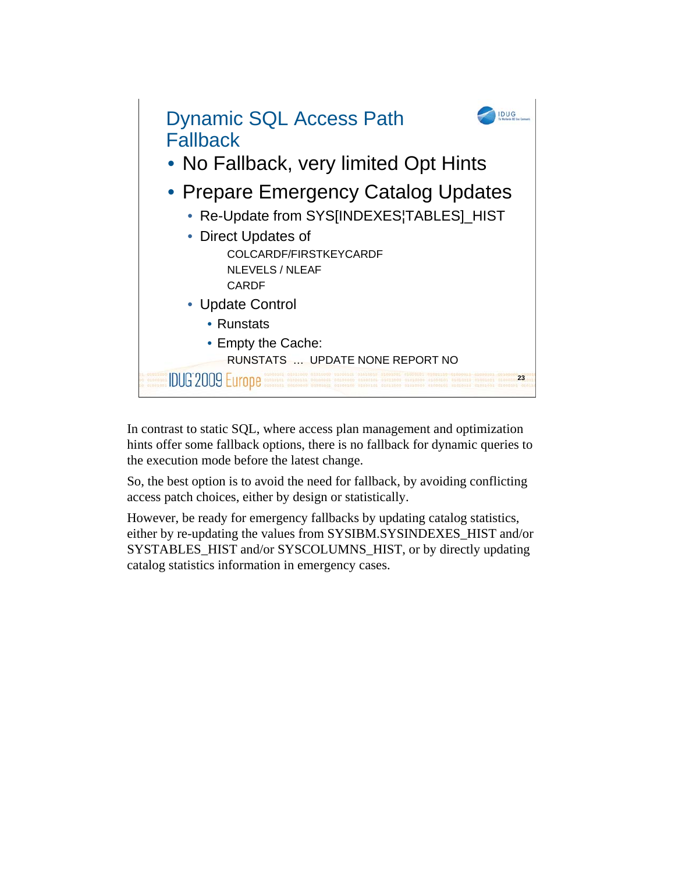

In contrast to static SQL, where access plan management and optimization hints offer some fallback options, there is no fallback for dynamic queries to the execution mode before the latest change.

So, the best option is to avoid the need for fallback, by avoiding conflicting access patch choices, either by design or statistically.

However, be ready for emergency fallbacks by updating catalog statistics, either by re-updating the values from SYSIBM.SYSINDEXES\_HIST and/or SYSTABLES\_HIST and/or SYSCOLUMNS\_HIST, or by directly updating catalog statistics information in emergency cases.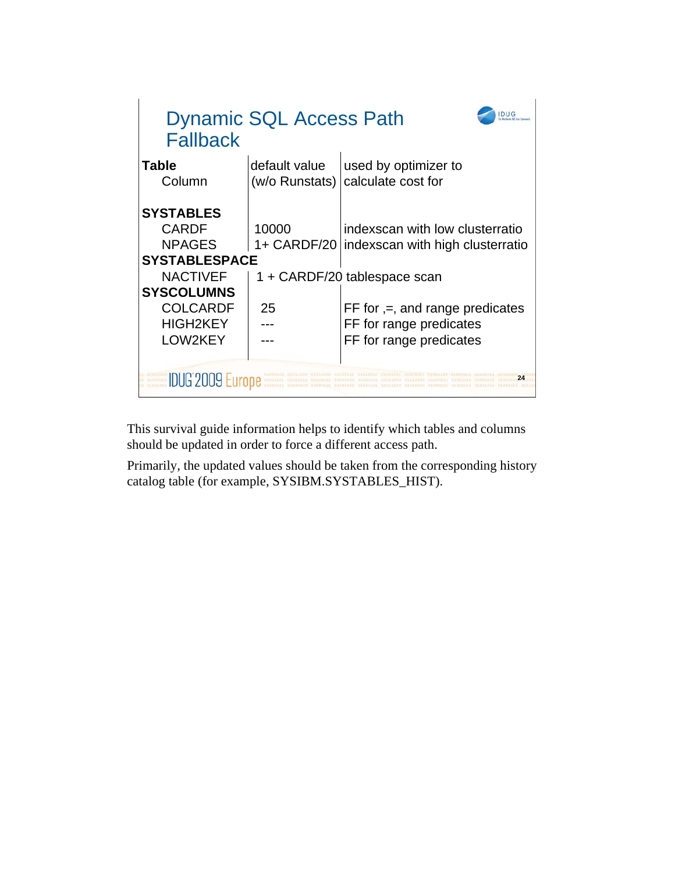| <b>Dynamic SQL Access Path</b><br><b>Fallback</b>                         |                                 |                                                                                         |  |  |  |  |
|---------------------------------------------------------------------------|---------------------------------|-----------------------------------------------------------------------------------------|--|--|--|--|
| <b>Table</b><br>Column                                                    | default value<br>(w/o Runstats) | used by optimizer to<br>calculate cost for                                              |  |  |  |  |
| <b>SYSTABLES</b><br><b>CARDF</b><br><b>NPAGES</b><br><b>SYSTABLESPACE</b> | 10000<br>1+ CARDF/20            | indexscan with low clusterratio<br>indexscan with high clusterratio                     |  |  |  |  |
| <b>NACTIVEF</b>                                                           | 1 + CARDF/20 tablespace scan    |                                                                                         |  |  |  |  |
| <b>SYSCOLUMNS</b><br><b>COLCARDF</b><br><b>HIGH2KEY</b><br>LOW2KEY        | 25                              | FF for $=$ , and range predicates<br>FF for range predicates<br>FF for range predicates |  |  |  |  |
| <b>IDUG 2009 E</b><br>24                                                  |                                 |                                                                                         |  |  |  |  |

This survival guide information helps to identify which tables and columns should be updated in order to force a different access path.

Primarily, the updated values should be taken from the corresponding history catalog table (for example, SYSIBM.SYSTABLES\_HIST).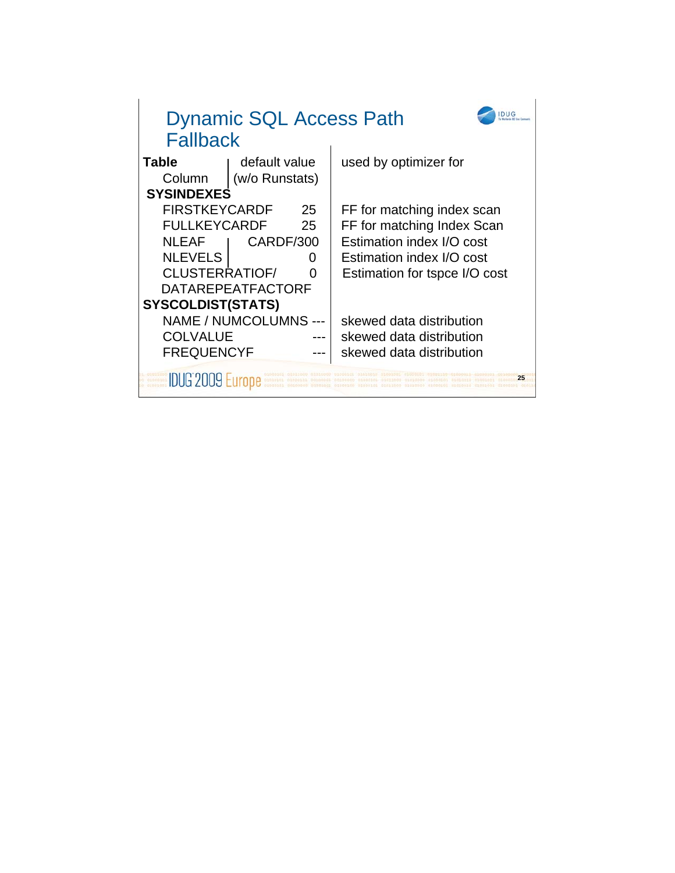| <b>Dynamic SQL Access Path</b><br><b>Fallback</b> |                                 |    |                               |  |  |
|---------------------------------------------------|---------------------------------|----|-------------------------------|--|--|
| <b>Table</b><br>Column<br><b>SYSINDEXES</b>       | default value<br>(w/o Runstats) |    | used by optimizer for         |  |  |
| <b>FIRSTKEYCARDF</b>                              |                                 | 25 | FF for matching index scan    |  |  |
| <b>FULLKEYCARDF</b>                               |                                 | 25 | FF for matching Index Scan    |  |  |
| <b>NLEAF</b>                                      | CARDF/300                       |    | Estimation index I/O cost     |  |  |
| <b>NLEVELS</b>                                    |                                 | 0  | Estimation index I/O cost     |  |  |
| <b>CLUSTERRATIOF/</b>                             |                                 | O  | Estimation for tspce I/O cost |  |  |
| <b>DATAREPEATFACTORF</b>                          |                                 |    |                               |  |  |
| <b>SYSCOLDIST(STATS)</b>                          |                                 |    |                               |  |  |
| NAME / NUMCOLUMNS ---                             |                                 |    | skewed data distribution      |  |  |
| <b>COLVALUE</b>                                   |                                 |    | skewed data distribution      |  |  |
| <b>FREQUENCYF</b>                                 |                                 |    | skewed data distribution      |  |  |
| <b>IDUG 2009</b>                                  |                                 |    | 25                            |  |  |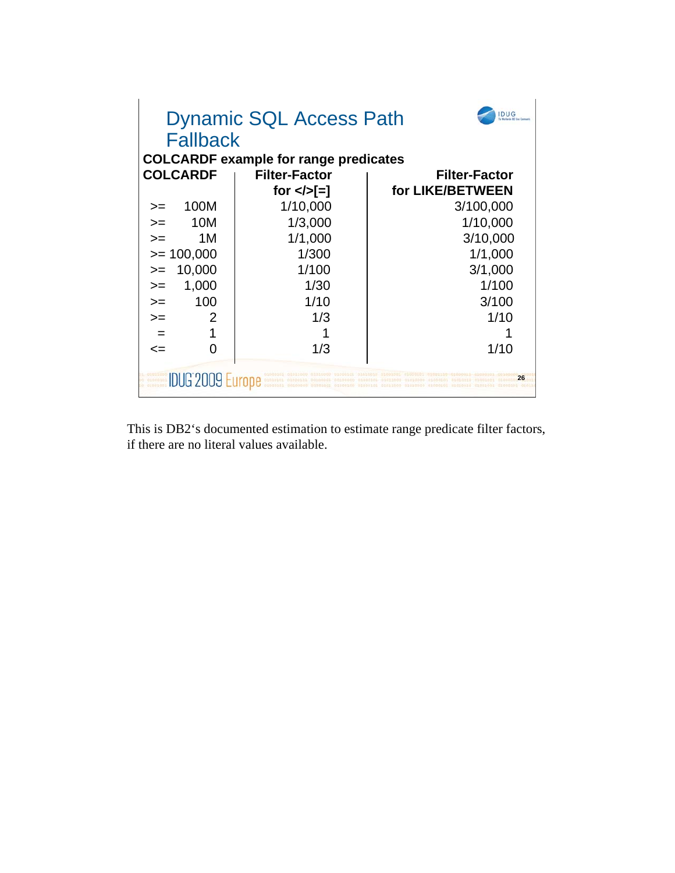| DUG<br><b>Dynamic SQL Access Path</b><br><b>Fallback</b>        |             |                   |                  |  |  |  |
|-----------------------------------------------------------------|-------------|-------------------|------------------|--|--|--|
| <b>COLCARDF example for range predicates</b>                    |             |                   |                  |  |  |  |
| <b>COLCARDF</b><br><b>Filter-Factor</b><br><b>Filter-Factor</b> |             |                   |                  |  |  |  |
|                                                                 |             | for $\lt/\gt$ [=] | for LIKE/BETWEEN |  |  |  |
| $>=$                                                            | 100M        | 1/10,000          | 3/100,000        |  |  |  |
| $>=$                                                            | 10M         | 1/3,000           | 1/10,000         |  |  |  |
| $>=$                                                            | 1M          | 1/1,000           | 3/10,000         |  |  |  |
|                                                                 | $= 100,000$ | 1/300             | 1/1,000          |  |  |  |
| $>=$                                                            | 10,000      | 1/100             | 3/1,000          |  |  |  |
| $>=$                                                            | 1,000       | 1/30              | 1/100            |  |  |  |
| $>=$                                                            | 100         | 1/10              | 3/100            |  |  |  |
| $>=$                                                            | 2           | 1/3               | 1/10             |  |  |  |
|                                                                 |             |                   |                  |  |  |  |
| $\leq$                                                          |             | 1/3               | 1/10             |  |  |  |
| <b>IDUG 2009 Eu</b><br>26                                       |             |                   |                  |  |  |  |

This is DB2's documented estimation to estimate range predicate filter factors, if there are no literal values available.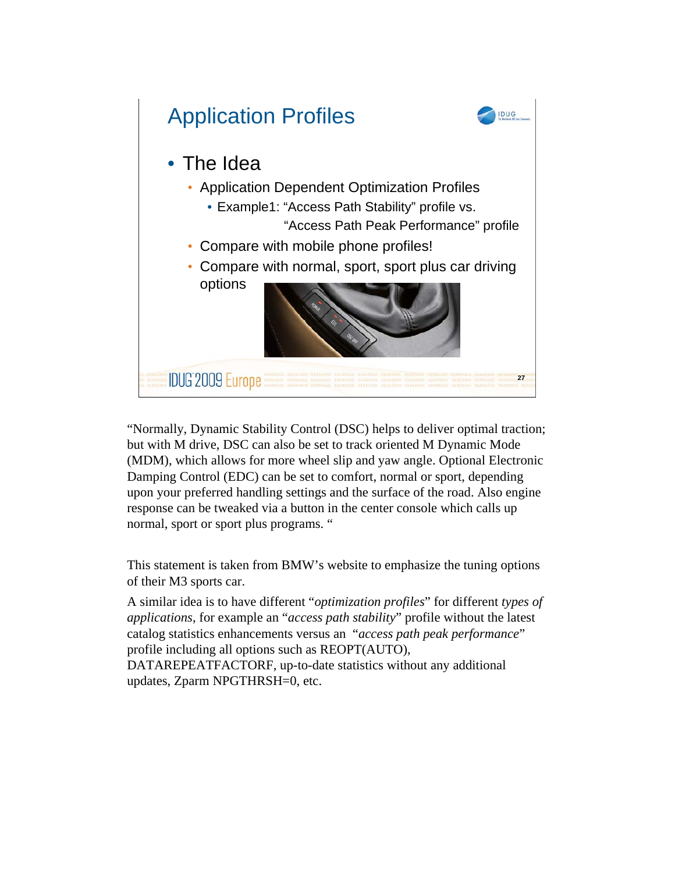

"Normally, Dynamic Stability Control (DSC) helps to deliver optimal traction; but with M drive, DSC can also be set to track oriented M Dynamic Mode (MDM), which allows for more wheel slip and yaw angle. Optional Electronic Damping Control (EDC) can be set to comfort, normal or sport, depending upon your preferred handling settings and the surface of the road. Also engine response can be tweaked via a button in the center console which calls up normal, sport or sport plus programs. "

This statement is taken from BMW's website to emphasize the tuning options of their M3 sports car.

A similar idea is to have different "*optimization profiles*" for different *types of applications*, for example an "*access path stability*" profile without the latest catalog statistics enhancements versus an "*access path peak performance*" profile including all options such as REOPT(AUTO),

DATAREPEATFACTORF, up-to-date statistics without any additional updates, Zparm NPGTHRSH=0, etc.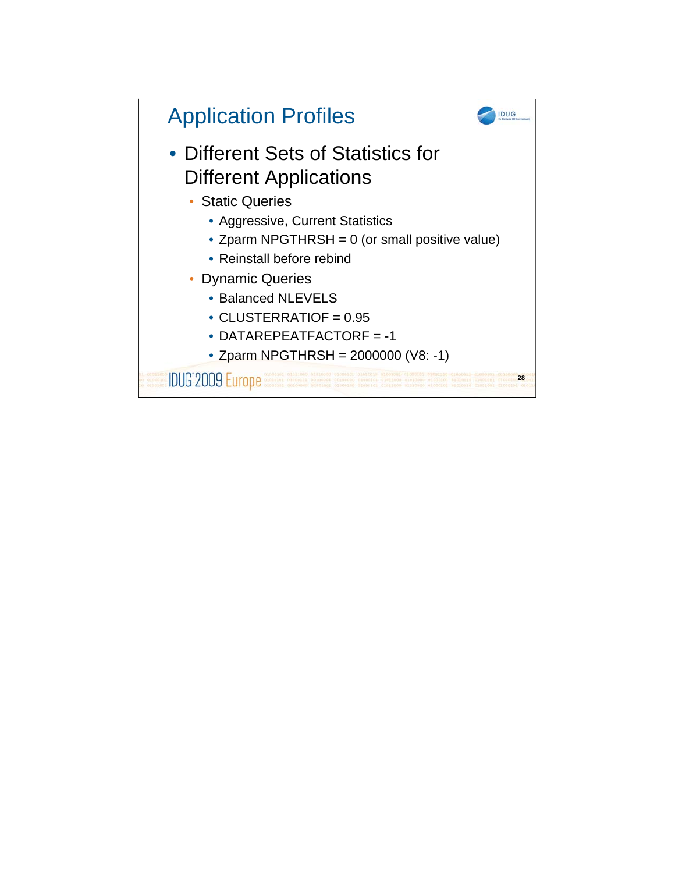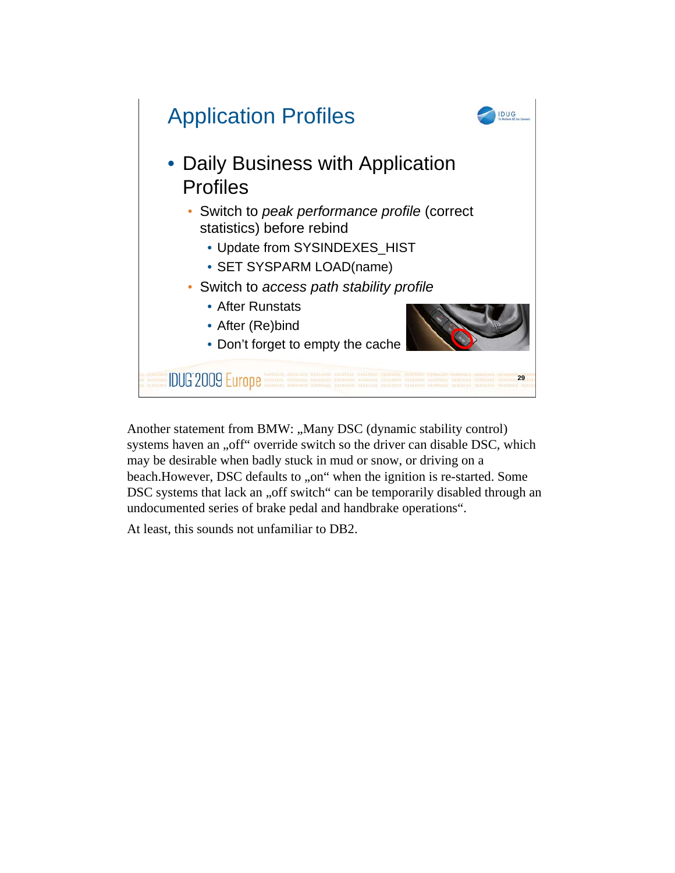

Another statement from BMW: "Many DSC (dynamic stability control) systems haven an "off" override switch so the driver can disable DSC, which may be desirable when badly stuck in mud or snow, or driving on a beach.However, DSC defaults to "on" when the ignition is re-started. Some DSC systems that lack an "off switch" can be temporarily disabled through an undocumented series of brake pedal and handbrake operations".

At least, this sounds not unfamiliar to DB2.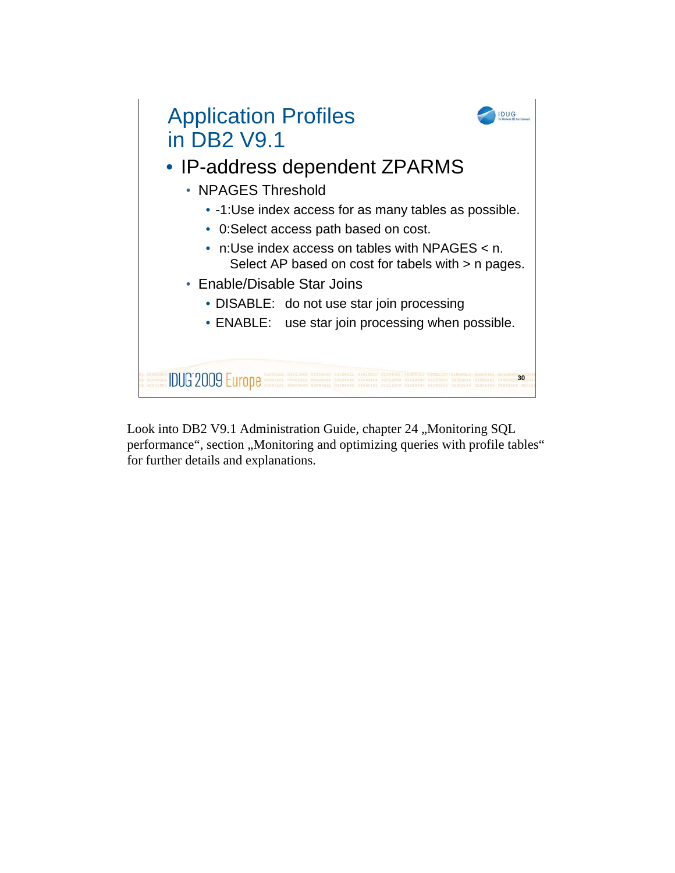

Look into DB2 V9.1 Administration Guide, chapter 24 "Monitoring SQL performance", section ,,Monitoring and optimizing queries with profile tables" for further details and explanations.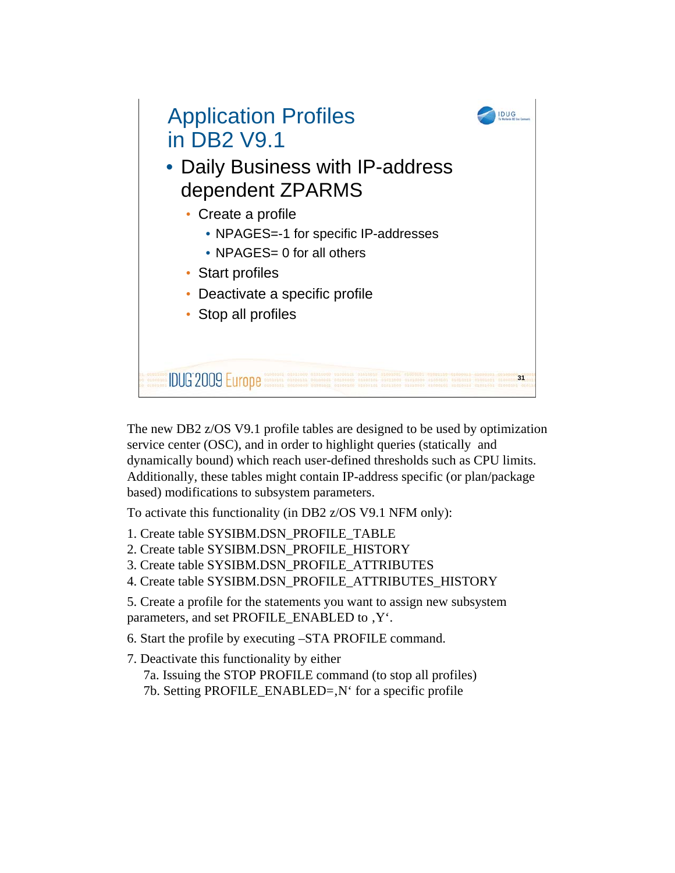

The new DB2 z/OS V9.1 profile tables are designed to be used by optimization service center (OSC), and in order to highlight queries (statically and dynamically bound) which reach user-defined thresholds such as CPU limits. Additionally, these tables might contain IP-address specific (or plan/package based) modifications to subsystem parameters.

To activate this functionality (in DB2 z/OS V9.1 NFM only):

- 1. Create table SYSIBM.DSN\_PROFILE\_TABLE
- 2. Create table SYSIBM.DSN\_PROFILE\_HISTORY
- 3. Create table SYSIBM.DSN\_PROFILE\_ATTRIBUTES
- 4. Create table SYSIBM.DSN\_PROFILE\_ATTRIBUTES\_HISTORY

5. Create a profile for the statements you want to assign new subsystem parameters, and set PROFILE\_ENABLED to , Y'.

6. Start the profile by executing –STA PROFILE command.

7. Deactivate this functionality by either

7a. Issuing the STOP PROFILE command (to stop all profiles) 7b. Setting PROFILE\_ENABLED= $N^{\prime}$  for a specific profile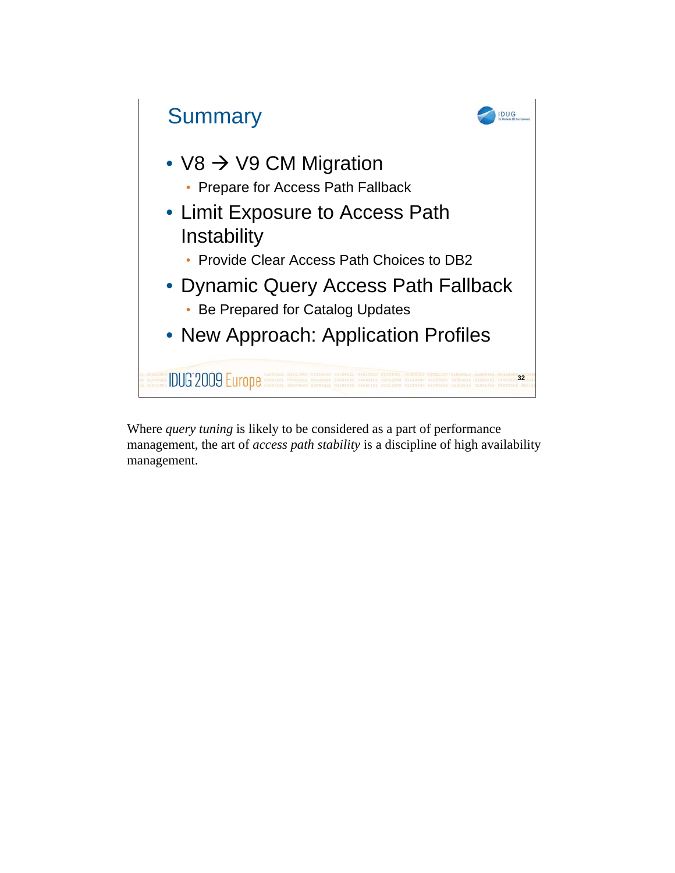

Where *query tuning* is likely to be considered as a part of performance management, the art of *access path stability* is a discipline of high availability management.